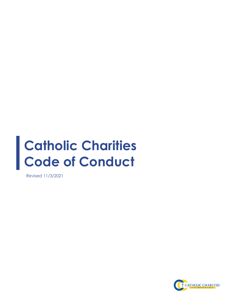# **Catholic Charities Code of Conduct**

Revised 11/3/2021

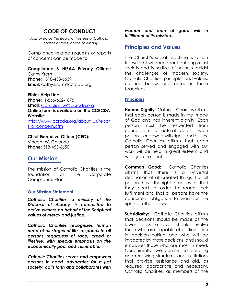## **CODE OF CONDUCT**

*Approved by the Board of Trustees of Catholic Charities of the Diocese of Albany*

Compliance related requests or reports of concerns can be made to**:** 

### **Compliance & HIPAA Privacy Officer:**

Cathy Krom **Phone:** 518-453-6659 **Email:** cathy.krom@ccrcda.org

**Ethics Help Line: Phone:** 1-866-662-1875 **Email**: [Compliance@ccrcda.org](mailto:Compliance@ccrcda.org) **Online form is available on the CCRCDA Website**: [http://www.ccrcda.org/about\\_us/repor](http://www.ccrcda.org/about_us/report_a_concern.cfm) [t\\_a\\_concern.cfm](http://www.ccrcda.org/about_us/report_a_concern.cfm)

#### **Chief Executive Officer (CEO):**

Vincent W. Colonno **Phone:** 518-453-6650

## **Our Mission**

The mission of Catholic Charities is the foundation of the Corporate Compliance Plan.

#### **Our Mission Statement**

*Catholic Charities, a ministry of the Diocese of Albany, is committed to active witness on behalf of the Scriptural values of mercy and justice.*

*Catholic Charities recognizes human need at all stages of life, responds to all persons regardless of race, creed or lifestyle, with special emphasis on the economically poor and vulnerable.* 

*Catholic Charities serves and empowers persons in need, advocates for a just society, calls forth and collaborates with* 

*women and men of good will in fulfillment of its mission.*

## **Principles and Values**

The Church's social teaching is a rich treasure of wisdom about building a just society and living lives of holiness amidst the challenges of modern society. Catholic Charities' principles and values, outlined below, are rooted in these teachings.

#### **Principles**

**Human Dignity:** Catholic Charities affirms that each person is made in the image of God and has inherent dignity. Each person must be respected from conception to natural death. Each person is endowed with rights and duties. Catholic Charities affirms that each person served and engaged with our work will be held in great esteem and with great respect.

**Common Good:** Catholic Charities affirms that there is a universal destination of all created things that all persons have the right to access all that they need in order to reach their fulfillment and that all persons have the concurrent obligation to work for the rights of others as well.

**Subsidiarity:** Catholic Charities affirms that decisions should be made at the lowest possible level, should involve those who are capable of participation in decision-making and who will be impacted by those decisions, and should empower those who are most in need. Concurrently, we commit to creating and renewing structures and institutions that provide assistance and aid, as required, appropriate and necessary. Catholic Charities, as members of the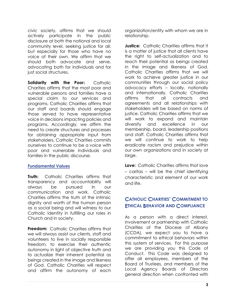civic society, affirms that we should actively participate in the public disclosure at both the national and local community level, seeking justice for all, but especially for those who have no voice of their own. We affirm that we should both advocate and serve, advocating both for individuals and for just social structures.

**Solidarity with the Poor:** Catholic Charities affirms that the most poor and vulnerable persons and families have a special claim to our services and programs. Catholic Charities affirms that our staff and boards should engage those served to have representative voice in decisions impacting policies and programs. Accordingly, we affirm the need to create structures and processes for obtaining appropriate input from stakeholders. Catholic Charities commits ourselves to continue to be a voice with poor and vulnerable individuals and families in the public discourse.

#### **Fundamental Values**

**Truth:** Catholic Charities affirms that transparency and accountability will always be pursued in our communication and work. Catholic Charities affirms the truth of the intrinsic dignity and worth of the human person as a social being and will witness to our Catholic identity in fulfilling our roles in Church and in society.

**Freedom:** Catholic Charities affirms that we will always assist our clients, staff and volunteers to live in socially responsible freedom, to exercise their authentic autonomy in light of objective truth and to actualize their inherent potential as beings created in the image and likeness of God. Catholic Charities will respect and affirm the autonomy of each organization/entity with whom we are in relationship.

**Justice:** Catholic Charities affirms that it is a matter of justice that all clients have the right to self-actualization and to reach their potential as beings created in the image and likeness of God. Catholic Charities affirms that we will work to achieve greater justice in our communities through our social policy advocacy efforts – locally, nationally and internationally. Catholic Charities affirms that all contracts and agreements and all relationships with stakeholders will be based on norms of justice. Catholic Charities affirms that we will work to expand and maintain diversity and excellence in our membership, board, leadership positions and staff. Catholic Charities affirms that we will continue to work to help eradicate racism and prejudice within our own organizations and in society at large.

**Love:** Catholic Charities affirms that love – caritas – will be the chief identifying characteristic and element of our work and life.

## **CATHOLIC CHARITIES' COMMITMENT TO ETHICAL BEHAVIOR AND COMPLIANCE**

As a person with a direct interest, involvement or partnership with Catholic Charities of the Diocese of Albany (CCDA), we expect you to have a commitment to ethical behaviors within this system of services. For this purpose we are providing you this Code of Conduct. This Code was designed to offer all employees, members of the Board of Trustees, and members of the Local Agency Boards of Directors general direction when confronted with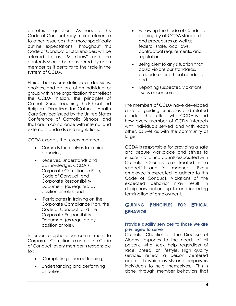an ethical question. As needed, this Code of Conduct may make reference to other resources that more specifically outline expectations. Throughout this Code of Conduct all stakeholders will be referred to as "Members" and the contents should be considered by each member as it pertains to their role in the system of CCDA.

Ethical behavior is defined as decisions, choices, and actions of an individual or group within the organization that reflect the CCDA mission, the principles of Catholic Social Teaching, the Ethical and Religious Directives for Catholic Health Care Services issued by the United States Conference of Catholic Bishops, and that are in compliance with internal and external standards and regulations.

CCDA expects that every member:

- Commits themselves to ethical behavior;
- Receives, understands and acknowledges CCDA's Corporate Compliance Plan, Code of Conduct, and Corporate Responsibility Document (as required by position or role); and
- Participates in training on the Corporate Compliance Plan, the Code of Conduct, and the Corporate Responsibility Document (as required by position or role).

In order to uphold our commitment to Corporate Compliance and to the Code of Conduct, every member is responsible for:

- Completing required training;
- Understanding and performing all duties;
- Following the Code of Conduct, abiding by all CCDA standards and procedures as well as federal, state, local laws, contractual requirements, and regulations.
- Being alert to any situation that could violate our standards, procedures or ethical conduct; and
- Reporting suspected violations, issues or concerns.

The members of CCDA have developed a set of guiding principles and related conduct that reflect who CCDA is and how every member of CCDA interacts with individuals served and with each other, as well as with the community at large.

CCDA is responsible for providing a safe and secure workplace and strives to ensure that all individuals associated with Catholic Charities are treated in a respectful and fair manner. Every employee is expected to adhere to this Code of Conduct. Violations of the expected behavior may result in disciplinary action, up to and including termination of employment.

## **GUIDING PRINCIPLES FOR ETHICAL BEHAVIOR**

#### **Provide quality services to those we are privileged to serve**

Catholic Charities of the Diocese of Albany responds to the needs of all persons who seek help regardless of race, creed, or lifestyle. High quality services reflect a person centered approach which assists and empowers individuals to help themselves. This is done through member behaviors that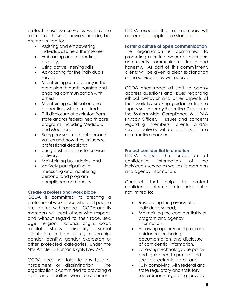protect those we serve as well as the members. These behaviors include, but are not limited to:

- Assisting and empowering individuals to help themselves;
- Embracing and respecting diversity;
- Using active listening skills;
- Advocating for the individuals served;
- Maintaining competency in the profession through learning and ongoing communication with others;
- Maintaining certification and credentials, where required;
- Full disclosure of exclusion from state and/or federal health care programs, including Medicaid and Medicare;
- Being conscious about personal values and how they influence professional decisions;
- Using best practices for service delivery;
- Maintaining boundaries; and
- Actively participating in measuring and monitoring personal and program compliance and quality.

#### **Create a professional work place**

CCDA is committed to creating a professional work place where all people are treated with respect. CCDA and its members will treat others with respect, and without regard to their race, sex, age, religion, national origin, color, marital status, disability, sexual orientation, military status, citizenship, gender identity, gender expression or other protected categories, under the NYS Article 15 Human Rights Law 296.

CCDA does not tolerate any type of harassment or discrimination. The organization is committed to providing a safe and healthy work environment. CCDA expects that all members will adhere to all applicable standards.

#### **Foster a culture of open communication**

The organization is committed to promoting a culture where all members and clients communicate clearly and honestly. As part of this commitment, clients will be given a clear explanation of the services they will receive.

CCDA encourages all staff to openly address questions and issues regarding ethical behavior and other aspects of their work by seeking guidance from a supervisor, Agency Executive Director or the System-wide Compliance & HIPAA Privacy Officer. Issues and concerns regarding members, clients and/or service delivery will be addressed in a constructive manner.

#### **Protect confidential information**

CCDA values the protection of confidential information of the individuals served as well as its members and agency information.

Conduct that helps to protect confidential information includes but is not limited to:

- Respecting the privacy of all individuals served;
- Maintaining the confidentiality of program and agency information;
- Following agency and program guidance for sharing, documentation, and disclosure of confidential information.
- Following technology use policy and guidance to protect and secure electronic data, and
- Fully complying with federal and state regulatory and statutory requirements regarding privacy,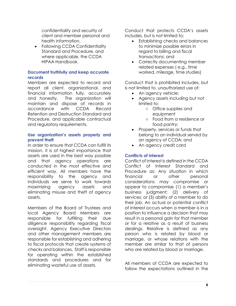confidentiality and security of client and member personal and health information.

• Following CCDA Confidentiality Standard and Procedure, and where applicable, the CCDA HIPAA Handbook.

#### **Document truthfully and keep accurate records**

Members are expected to record and report all client, organizational, and financial information fully, accurately and honestly. The organization will maintain and dispose of records in accordance with CCDA Record Retention and Destruction Standard and Procedure, and applicable contractual and regulatory requirements.

#### **Use organization's assets properly and prevent theft**

In order to ensure that CCDA can fulfill its mission, it is of highest importance that assets are used in the best way possible and that agency operations are conducted in the most effective and efficient way. All members have the responsibility to the agency and individuals we serve to work towards maximizing agency assets and eliminating misuse and theft of agency assets.

Members of the Board of Trustees and local Agency Board Members are responsible for fulfilling their due diligence responsibility regarding fiscal oversight. Agency Executive Directors and other management members are responsible for establishing and adhering to fiscal protocols that create systems of checks and balances. Staff is responsible for operating within the established standards and procedures and for eliminating wasteful use of assets.

Conduct that protects CCDA's assets includes, but is not limited to:

- Establishing checks and balances to minimize possible errors in regard to billing and fiscal transactions; and
- Correctly documenting member related expenses ( e.g., time worked, mileage, time studies)

Conduct that is prohibited includes, but is not limited to, unauthorized use of:

- An agency vehicle;
- Agency assets including but not limited to:
	- o Office supplies and equipment
	- o Food from a residence or food pantry;
- Property, services or funds that belong to an individual served by an agency of CCDA; and
- An agency credit card

#### **Conflicts of interest**

Conflict of Interest is defined in the CCDA Conflict of Interest Standard and Procedure as: Any situation in which financial or other personal considerations may compromise or appear to compromise (1) a member's business judgment; (2) delivery of services; or (3) ability of a member to do their job. An actual or potential conflict of interest occurs when a member is in a position to influence a decision that may result in a personal gain for that member or for a relative as a result of business dealings. Relative is defined as any person who is related by blood or marriage, or whose relations with the member are similar to that of persons who are related by blood or marriage.

All members of CCDA are expected to follow the expectations outlined in the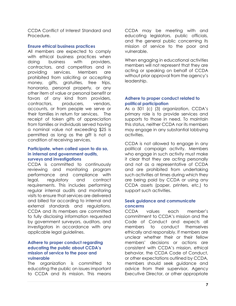CCDA Conflict of Interest Standard and Procedure.

#### **Ensure ethical business practices**

All members are expected to comply with ethical business practices when doing business with providers, contractors, and competitors and in providing services. Members are prohibited from soliciting or accepting money, gifts, gratuities, free trips, honoraria, personal property, or any other item of value or personal benefit or favors of any kind from providers, contractors, producers, vendors, accounts, or from people we serve or their families in return for services. The receipt of token gifts of appreciation from families or individuals served having a nominal value not exceeding \$25 is permitted as long as the gift is not a condition of receiving services.

#### **Participate, when called upon to do so, in internal and government audits, surveys and investigations**

CCDA is committed to continuously reviewing and monitoring program performance and compliance with legal, regulatory and contract requirements. This includes performing regular internal audits and monitoring visits to ensure that services are delivered and billed for according to internal and external standards and regulations. CCDA and its members are committed to fully disclosing information requested by government surveyors, auditors, and investigators in accordance with any applicable legal guidelines.

#### **Adhere to proper conduct regarding educating the public about CCDA's mission of service to the poor and vulnerable**

The organization is committed to educating the public on issues important to CCDA and its mission. This means

CCDA may be meeting with and educating legislators, public officials, and the general public concerning its mission of service to the poor and vulnerable.

When engaging in educational activities members will not represent that they are acting or speaking on behalf of CCDA without prior approval from the agency's leadership.

#### **Adhere to proper conduct related to political participation**

As a 501 (c) (3) organization, CCDA's primary role is to provide services and supports to those in need. To maintain this status, neither CCDA nor its members may engage in any substantial lobbying activities.

CCDA is not allowed to engage in any political campaign activity. Members who engage in such activity must make it clear that they are acting personally and not as a representative of CCDA and are prohibited from undertaking such activities at times during which they are being paid by CCDA or using any CCDA assets (paper, printers, etc.) to support such activities.

#### **Seek guidance and communicate concerns**

CCDA values each member's commitment to CCDA's mission and the Code of Conduct and expects all members to conduct themselves ethically and responsibly. If members are unclear whether their or their fellow members' decisions or actions are consistent with CCDA's mission, ethical behavior, the CCDA Code of Conduct, or other expectations outlined by CCDA, members should seek guidance and advice from their supervisor, Agency Executive Director, or other appropriate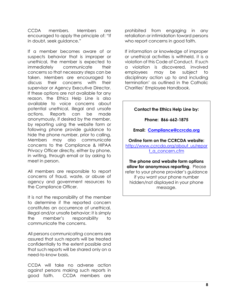CCDA members. Members are encouraged to apply the principle of: "If in doubt, seek guidance."

If a member becomes aware of or suspects behavior that is improper or unethical, the member is expected to immediately communicate their concerns so that necessary steps can be taken. Members are encouraged to discuss their concerns with their supervisor or Agency Executive Director. If these options are not available for any reason, the Ethics Help Line is also available to voice concerns about potential unethical, illegal and unsafe actions. Reports can be made anonymously, if desired by the member, by reporting using the website form or following phone provide guidance to hide the phone number, prior to calling. Members may also communicate concerns to the Compliance & HIPAA Privacy Officer directly, either by phone, in writing, through email or by asking to meet in person.

All members are responsible to report concerns of fraud, waste, or abuse of agency and government resources to the Compliance Officer.

It is not the responsibility of the member to determine if the reported concern constitutes an occurrence of unethical, illegal and/or unsafe behavior; it is simply the member's responsibility to communicate the concerns.

All persons communicating concerns are assured that such reports will be treated confidentially to the extent possible and that such reports will be shared only on a need-to-know basis.

CCDA will take no adverse action against persons making such reports in good faith. CCDA members are

prohibited from engaging in any retaliation or intimidation toward persons who report concerns in good faith.

If information or knowledge of improper or unethical activities is withheld, it is a violation of this Code of Conduct. If such a violation is discovered, involved employees may be subject to disciplinary action up to and including termination' as outlined in the Catholic Charities' Employee Handbook.

#### **Contact the Ethics Help Line by:**

**Phone: 866-662-1875**

#### **Email: [Compliance@ccrcda.org](mailto:Compliance@ccrcda.org)**

**Online form on the CCRCDA website:**  [http://www.ccrcda.org/about\\_us/repor](http://www.ccrcda.org/about_us/report_a_concern.cfm) [t\\_a\\_concern.cfm](http://www.ccrcda.org/about_us/report_a_concern.cfm)

**The phone and website form options allow for anonymous reporting**. Please refer to your phone provider's guidance if you want your phone number hidden/not displayed in your phone message.